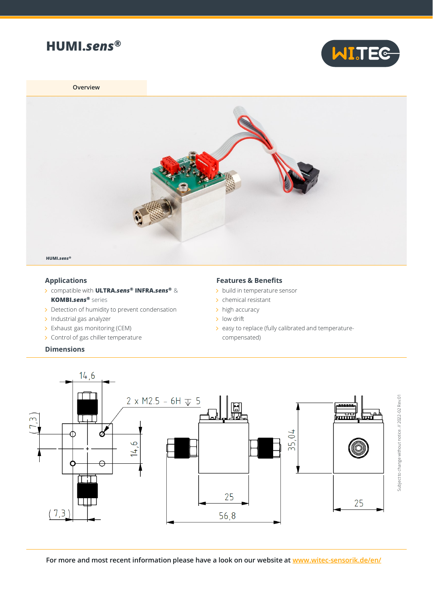



**Overview**



## **Applications**

- compatible with **ULTRA.***sens***® INFRA.***sens***®** & **KOMBI.***sens***®** series
- > Detection of humidity to prevent condensation
- $\rightarrow$  Industrial gas analyzer
- > Exhaust gas monitoring (CEM)
- > Control of gas chiller temperature

## **Dimensions**

## **Features & Benefits**

- > build in temperature sensor
- $\rightarrow$  chemical resistant
- > high accuracy
- > low drift
- > easy to replace (fully calibrated and temperaturecompensated)



**For more and most recent information please have a look on our website at [www.witec-sensorik.de/en/](http://www.witec-sensorik.de/en/)**